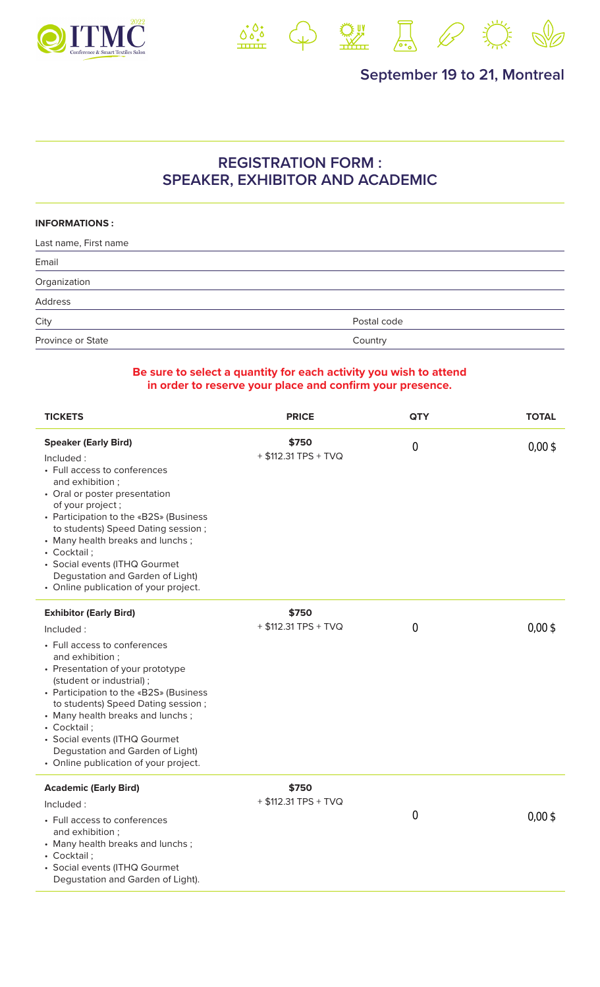



<u>第</u>中盟局 《 类

## **REGISTRATION FORM : SPEAKER, EXHIBITOR AND ACADEMIC**

## **INFORMATIONS :**

| Last name, First name |             |  |
|-----------------------|-------------|--|
| Email                 |             |  |
| Organization          |             |  |
| Address               |             |  |
| City                  | Postal code |  |
| Province or State     | Country     |  |

## **Be sure to select a quantity for each activity you wish to attend in order to reserve your place and confirm your presence.**

| <b>TICKETS</b>                                                                                                                                                                                                                                                                                                                                                                                                 | <b>PRICE</b>                  | <b>QTY</b>       | <b>TOTAL</b>       |
|----------------------------------------------------------------------------------------------------------------------------------------------------------------------------------------------------------------------------------------------------------------------------------------------------------------------------------------------------------------------------------------------------------------|-------------------------------|------------------|--------------------|
| <b>Speaker (Early Bird)</b><br>Included:<br>• Full access to conferences<br>and exhibition;<br>• Oral or poster presentation<br>of your project;<br>• Participation to the «B2S» (Business<br>to students) Speed Dating session;<br>• Many health breaks and lunchs;<br>• Cocktail;<br>· Social events (ITHQ Gourmet<br>Degustation and Garden of Light)<br>• Online publication of your project.              | \$750<br>+ \$112.31 TPS + TVQ | $\boldsymbol{0}$ | $0,00 \text{ }$ \$ |
| <b>Exhibitor (Early Bird)</b><br>Included:<br>• Full access to conferences<br>and exhibition;<br>• Presentation of your prototype<br>(student or industrial);<br>• Participation to the «B2S» (Business<br>to students) Speed Dating session;<br>• Many health breaks and lunchs;<br>• Cocktail;<br>• Social events (ITHQ Gourmet<br>Degustation and Garden of Light)<br>• Online publication of your project. | \$750<br>+ \$112.31 TPS + TVQ | $\bf{0}$         | 0.00S              |
| <b>Academic (Early Bird)</b><br>Included:<br>• Full access to conferences<br>and exhibition ;<br>• Many health breaks and lunchs;<br>• Cocktail;<br>• Social events (ITHQ Gourmet<br>Degustation and Garden of Light).                                                                                                                                                                                         | \$750<br>+ \$112.31 TPS + TVQ | $\boldsymbol{0}$ | 0.00S              |